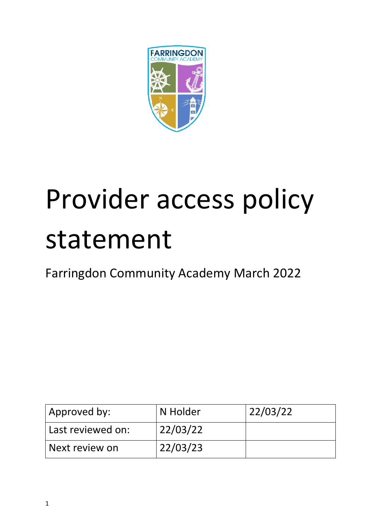

# Provider access policy statement

Farringdon Community Academy March 2022

| Approved by:      | N Holder | 22/03/22 |
|-------------------|----------|----------|
| Last reviewed on: | 22/03/22 |          |
| Next review on    | 22/03/23 |          |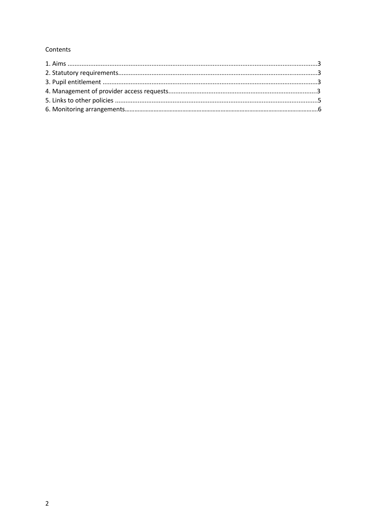# Contents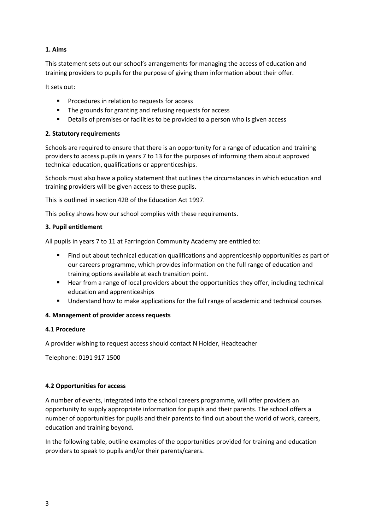# **1. Aims**

This statement sets out our school's arrangements for managing the access of education and training providers to pupils for the purpose of giving them information about their offer.

It sets out:

- **Procedures in relation to requests for access**
- **The grounds for granting and refusing requests for access**
- **•** Details of premises or facilities to be provided to a person who is given access

### **2. Statutory requirements**

Schools are required to ensure that there is an opportunity for a range of education and training providers to access pupils in years 7 to 13 for the purposes of informing them about approved technical education, qualifications or apprenticeships.

Schools must also have a policy statement that outlines the circumstances in which education and training providers will be given access to these pupils.

This is outlined in section 42B of the Education Act 1997.

This policy shows how our school complies with these requirements.

### **3. Pupil entitlement**

All pupils in years 7 to 11 at Farringdon Community Academy are entitled to:

- Find out about technical education qualifications and apprenticeship opportunities as part of our careers programme, which provides information on the full range of education and training options available at each transition point.
- Hear from a range of local providers about the opportunities they offer, including technical education and apprenticeships
- **Understand how to make applications for the full range of academic and technical courses**

# **4. Management of provider access requests**

### **4.1 Procedure**

A provider wishing to request access should contact N Holder, Headteacher

Telephone: 0191 917 1500

# **4.2 Opportunities for access**

A number of events, integrated into the school careers programme, will offer providers an opportunity to supply appropriate information for pupils and their parents. The school offers a number of opportunities for pupils and their parents to find out about the world of work, careers, education and training beyond.

In the following table, outline examples of the opportunities provided for training and education providers to speak to pupils and/or their parents/carers.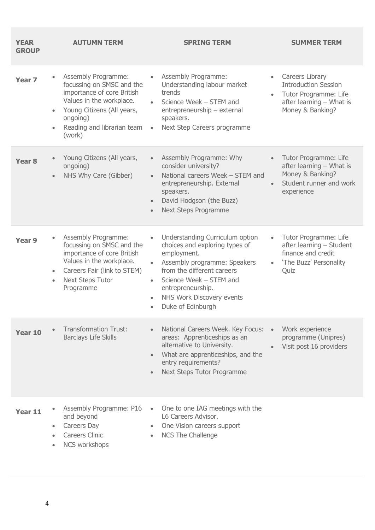| <b>YEAR</b><br><b>GROUP</b> | <b>AUTUMN TERM</b>                                                                                                                                                                                                     | <b>SPRING TERM</b>                                                                                                                                                                                                                                                                                   | <b>SUMMER TERM</b>                                                                                                                       |
|-----------------------------|------------------------------------------------------------------------------------------------------------------------------------------------------------------------------------------------------------------------|------------------------------------------------------------------------------------------------------------------------------------------------------------------------------------------------------------------------------------------------------------------------------------------------------|------------------------------------------------------------------------------------------------------------------------------------------|
| Year <sub>7</sub>           | Assembly Programme:<br>$\bullet$<br>focussing on SMSC and the<br>importance of core British<br>Values in the workplace.<br>Young Citizens (All years,<br>ongoing)<br>Reading and librarian team<br>$\bullet$<br>(work) | Assembly Programme:<br>$\bullet$<br>Understanding labour market<br>trends<br>Science Week - STEM and<br>entrepreneurship - external<br>speakers.<br>Next Step Careers programme<br>$\bullet$                                                                                                         | Careers Library<br>$\bullet$<br><b>Introduction Session</b><br>Tutor Programme: Life<br>after learning - What is<br>Money & Banking?     |
| Year <sub>8</sub>           | Young Citizens (All years,<br>ongoing)<br>NHS Why Care (Gibber)                                                                                                                                                        | Assembly Programme: Why<br>consider university?<br>National careers Week - STEM and<br>$\bullet$<br>entrepreneurship. External<br>speakers.<br>David Hodgson (the Buzz)<br><b>Next Steps Programme</b><br>$\bullet$                                                                                  | Tutor Programme: Life<br>$\bullet$<br>after learning - What is<br>Money & Banking?<br>Student runner and work<br>$\bullet$<br>experience |
| Year 9                      | Assembly Programme:<br>focussing on SMSC and the<br>importance of core British<br>Values in the workplace.<br>Careers Fair (link to STEM)<br><b>Next Steps Tutor</b><br>$\bullet$<br>Programme                         | Understanding Curriculum option<br>$\bullet$<br>choices and exploring types of<br>employment.<br>Assembly programme: Speakers<br>from the different careers<br>Science Week - STEM and<br>$\bullet$<br>entrepreneurship.<br>NHS Work Discovery events<br>$\bullet$<br>Duke of Edinburgh<br>$\bullet$ | Tutor Programme: Life<br>$\bullet$<br>after learning - Student<br>finance and credit<br>'The Buzz' Personality<br>$\bullet$<br>Quiz      |
| Year 10                     | <b>Transformation Trust:</b><br><b>Barclays Life Skills</b>                                                                                                                                                            | National Careers Week. Key Focus:<br>areas: Apprenticeships as an<br>alternative to University.<br>What are apprenticeships, and the<br>entry requirements?<br>Next Steps Tutor Programme                                                                                                            | Work experience<br>programme (Unipres)<br>Visit post 16 providers                                                                        |
| Year 11                     | Assembly Programme: P16<br>and beyond<br>Careers Day<br>٠<br><b>Careers Clinic</b><br><b>NCS workshops</b>                                                                                                             | One to one IAG meetings with the<br>L6 Careers Advisor.<br>One Vision careers support<br><b>NCS The Challenge</b>                                                                                                                                                                                    |                                                                                                                                          |